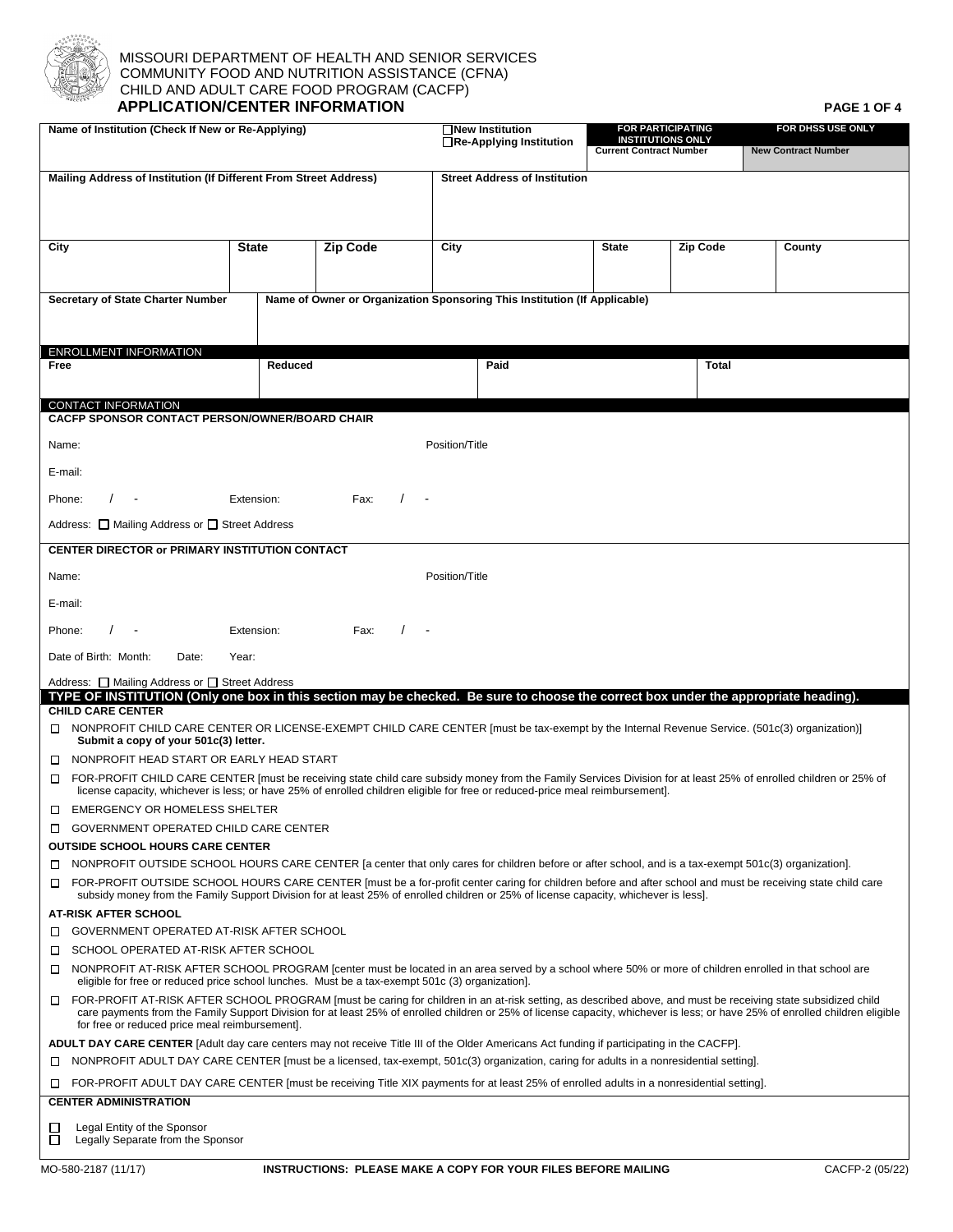

## MISSOURI DEPARTMENT OF HEALTH AND SENIOR SERVICES  $\Diamond$  COMMUNITY FOOD AND NUTRITION ASSISTANCE (CFNA) CHILD AND ADULT CARE FOOD PROGRAM (CACFP)  **APPLICATION/CENTER INFORMATION PAGE 1 OF 4**

| Name of Institution (Check If New or Re-Applying)                                                                                                                                                                                                                                                                                                                                                 |                |                 | <b>□New Institution</b><br>□Re-Applying Institution                       | <b>FOR PARTICIPATING</b><br><b>INSTITUTIONS ONLY</b><br><b>Current Contract Number</b> |              | FOR DHSS USE ONLY<br><b>New Contract Number</b> |  |  |
|---------------------------------------------------------------------------------------------------------------------------------------------------------------------------------------------------------------------------------------------------------------------------------------------------------------------------------------------------------------------------------------------------|----------------|-----------------|---------------------------------------------------------------------------|----------------------------------------------------------------------------------------|--------------|-------------------------------------------------|--|--|
| Mailing Address of Institution (If Different From Street Address)                                                                                                                                                                                                                                                                                                                                 |                |                 | <b>Street Address of Institution</b>                                      |                                                                                        |              |                                                 |  |  |
|                                                                                                                                                                                                                                                                                                                                                                                                   |                |                 |                                                                           |                                                                                        |              |                                                 |  |  |
| City                                                                                                                                                                                                                                                                                                                                                                                              | <b>State</b>   | <b>Zip Code</b> | City<br><b>State</b><br><b>Zip Code</b>                                   |                                                                                        |              | County                                          |  |  |
|                                                                                                                                                                                                                                                                                                                                                                                                   |                |                 |                                                                           |                                                                                        |              |                                                 |  |  |
| <b>Secretary of State Charter Number</b>                                                                                                                                                                                                                                                                                                                                                          |                |                 | Name of Owner or Organization Sponsoring This Institution (If Applicable) |                                                                                        |              |                                                 |  |  |
|                                                                                                                                                                                                                                                                                                                                                                                                   |                |                 |                                                                           |                                                                                        |              |                                                 |  |  |
| <b>ENROLLMENT INFORMATION</b><br>Free                                                                                                                                                                                                                                                                                                                                                             | Reduced        |                 | Paid                                                                      |                                                                                        | <b>Total</b> |                                                 |  |  |
|                                                                                                                                                                                                                                                                                                                                                                                                   |                |                 |                                                                           |                                                                                        |              |                                                 |  |  |
| CONTACT INFORMATION                                                                                                                                                                                                                                                                                                                                                                               |                |                 |                                                                           |                                                                                        |              |                                                 |  |  |
| <b>CACFP SPONSOR CONTACT PERSON/OWNER/BOARD CHAIR</b>                                                                                                                                                                                                                                                                                                                                             |                |                 |                                                                           |                                                                                        |              |                                                 |  |  |
| Name:                                                                                                                                                                                                                                                                                                                                                                                             |                |                 | Position/Title                                                            |                                                                                        |              |                                                 |  |  |
| E-mail:                                                                                                                                                                                                                                                                                                                                                                                           |                |                 |                                                                           |                                                                                        |              |                                                 |  |  |
| Phone:<br>$\sqrt{2}$                                                                                                                                                                                                                                                                                                                                                                              | Extension:     | Fax:            |                                                                           |                                                                                        |              |                                                 |  |  |
| Address: □ Mailing Address or □ Street Address                                                                                                                                                                                                                                                                                                                                                    |                |                 |                                                                           |                                                                                        |              |                                                 |  |  |
| CENTER DIRECTOR or PRIMARY INSTITUTION CONTACT                                                                                                                                                                                                                                                                                                                                                    |                |                 |                                                                           |                                                                                        |              |                                                 |  |  |
| Name:                                                                                                                                                                                                                                                                                                                                                                                             | Position/Title |                 |                                                                           |                                                                                        |              |                                                 |  |  |
| E-mail:                                                                                                                                                                                                                                                                                                                                                                                           |                |                 |                                                                           |                                                                                        |              |                                                 |  |  |
| Phone:                                                                                                                                                                                                                                                                                                                                                                                            | Extension:     | Fax:            |                                                                           |                                                                                        |              |                                                 |  |  |
| Date of Birth: Month:<br>Date:                                                                                                                                                                                                                                                                                                                                                                    | Year:          |                 |                                                                           |                                                                                        |              |                                                 |  |  |
| Address: □ Mailing Address or □ Street Address                                                                                                                                                                                                                                                                                                                                                    |                |                 |                                                                           |                                                                                        |              |                                                 |  |  |
| TYPE OF INSTITUTION (Only one box in this section may be checked. Be sure to choose the correct box under the appropriate heading).<br><b>CHILD CARE CENTER</b>                                                                                                                                                                                                                                   |                |                 |                                                                           |                                                                                        |              |                                                 |  |  |
| □ NONPROFIT CHILD CARE CENTER OR LICENSE-EXEMPT CHILD CARE CENTER [must be tax-exempt by the Internal Revenue Service. (501c(3) organization)]<br>Submit a copy of your 501c(3) letter.                                                                                                                                                                                                           |                |                 |                                                                           |                                                                                        |              |                                                 |  |  |
| NONPROFIT HEAD START OR EARLY HEAD START                                                                                                                                                                                                                                                                                                                                                          |                |                 |                                                                           |                                                                                        |              |                                                 |  |  |
| □ FOR-PROFIT CHILD CARE CENTER [must be receiving state child care subsidy money from the Family Services Division for at least 25% of enrolled children or 25% of<br>license capacity, whichever is less; or have 25% of enrolled children eligible for free or reduced-price meal reimbursement].                                                                                               |                |                 |                                                                           |                                                                                        |              |                                                 |  |  |
| <b>IN EMERGENCY OR HOMELESS SHELTER</b>                                                                                                                                                                                                                                                                                                                                                           |                |                 |                                                                           |                                                                                        |              |                                                 |  |  |
| <b>COVERNMENT OPERATED CHILD CARE CENTER</b><br><b>OUTSIDE SCHOOL HOURS CARE CENTER</b>                                                                                                                                                                                                                                                                                                           |                |                 |                                                                           |                                                                                        |              |                                                 |  |  |
| □ NONPROFIT OUTSIDE SCHOOL HOURS CARE CENTER [a center that only cares for children before or after school, and is a tax-exempt 501c(3) organization].                                                                                                                                                                                                                                            |                |                 |                                                                           |                                                                                        |              |                                                 |  |  |
| FOR-PROFIT OUTSIDE SCHOOL HOURS CARE CENTER [must be a for-profit center caring for children before and after school and must be receiving state child care<br>subsidy money from the Family Support Division for at least 25% of enrolled children or 25% of license capacity, whichever is less].                                                                                               |                |                 |                                                                           |                                                                                        |              |                                                 |  |  |
| <b>AT-RISK AFTER SCHOOL</b><br>□ GOVERNMENT OPERATED AT-RISK AFTER SCHOOL                                                                                                                                                                                                                                                                                                                         |                |                 |                                                                           |                                                                                        |              |                                                 |  |  |
| SCHOOL OPERATED AT-RISK AFTER SCHOOL<br>$\Box$                                                                                                                                                                                                                                                                                                                                                    |                |                 |                                                                           |                                                                                        |              |                                                 |  |  |
| NONPROFIT AT-RISK AFTER SCHOOL PROGRAM [center must be located in an area served by a school where 50% or more of children enrolled in that school are<br>$\Box$<br>eligible for free or reduced price school lunches. Must be a tax-exempt 501c (3) organization].                                                                                                                               |                |                 |                                                                           |                                                                                        |              |                                                 |  |  |
| □ FOR-PROFIT AT-RISK AFTER SCHOOL PROGRAM [must be caring for children in an at-risk setting, as described above, and must be receiving state subsidized child<br>care payments from the Family Support Division for at least 25% of enrolled children or 25% of license capacity, whichever is less; or have 25% of enrolled children eligible<br>for free or reduced price meal reimbursement]. |                |                 |                                                                           |                                                                                        |              |                                                 |  |  |
| <b>ADULT DAY CARE CENTER</b> [Adult day care centers may not receive Title III of the Older Americans Act funding if participating in the CACFP].                                                                                                                                                                                                                                                 |                |                 |                                                                           |                                                                                        |              |                                                 |  |  |
| NONPROFIT ADULT DAY CARE CENTER [must be a licensed, tax-exempt, 501c(3) organization, caring for adults in a nonresidential setting].                                                                                                                                                                                                                                                            |                |                 |                                                                           |                                                                                        |              |                                                 |  |  |
| FOR-PROFIT ADULT DAY CARE CENTER [must be receiving Title XIX payments for at least 25% of enrolled adults in a nonresidential setting].<br><b>CENTER ADMINISTRATION</b>                                                                                                                                                                                                                          |                |                 |                                                                           |                                                                                        |              |                                                 |  |  |
|                                                                                                                                                                                                                                                                                                                                                                                                   |                |                 |                                                                           |                                                                                        |              |                                                 |  |  |
| Legal Entity of the Sponsor<br>ப<br>□<br>Legally Separate from the Sponsor                                                                                                                                                                                                                                                                                                                        |                |                 |                                                                           |                                                                                        |              |                                                 |  |  |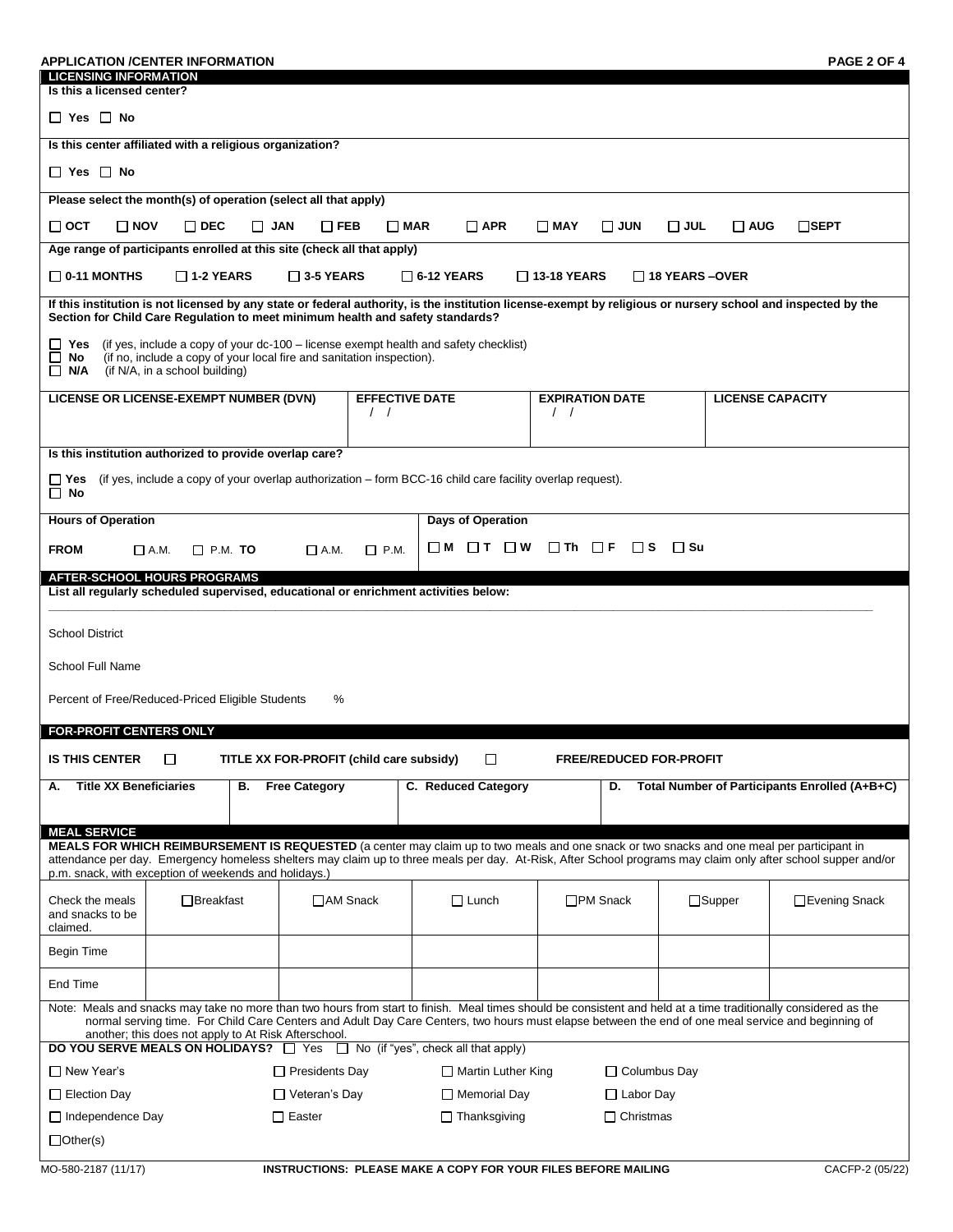| <b>APPLICATION /CENTER INFORMATION</b><br><b>LICENSING INFORMATION</b>                                                                                                                                                                                                                                                                                               |                                  |            |                                          |                                                  |                      |                   |                                         |                                |                       |               | PAGE 2 OF 4                                                                                                                                                  |
|----------------------------------------------------------------------------------------------------------------------------------------------------------------------------------------------------------------------------------------------------------------------------------------------------------------------------------------------------------------------|----------------------------------|------------|------------------------------------------|--------------------------------------------------|----------------------|-------------------|-----------------------------------------|--------------------------------|-----------------------|---------------|--------------------------------------------------------------------------------------------------------------------------------------------------------------|
| Is this a licensed center?                                                                                                                                                                                                                                                                                                                                           |                                  |            |                                          |                                                  |                      |                   |                                         |                                |                       |               |                                                                                                                                                              |
| $\Box$ Yes $\Box$ No                                                                                                                                                                                                                                                                                                                                                 |                                  |            |                                          |                                                  |                      |                   |                                         |                                |                       |               |                                                                                                                                                              |
| Is this center affiliated with a religious organization?                                                                                                                                                                                                                                                                                                             |                                  |            |                                          |                                                  |                      |                   |                                         |                                |                       |               |                                                                                                                                                              |
| $\Box$ Yes $\Box$ No                                                                                                                                                                                                                                                                                                                                                 |                                  |            |                                          |                                                  |                      |                   |                                         |                                |                       |               |                                                                                                                                                              |
| Please select the month(s) of operation (select all that apply)                                                                                                                                                                                                                                                                                                      |                                  |            |                                          |                                                  |                      |                   |                                         |                                |                       |               |                                                                                                                                                              |
| ⊟ ост<br>$\Box$ NOV                                                                                                                                                                                                                                                                                                                                                  | $\Box$ DEC                       | $\Box$ JAN | $\Box$ FEB                               | $\Box$ MAR                                       | $\Box$ APR           |                   | $\square$ MAY                           | $\Box$ JUN                     | $\square$ JUL         | $\Box$ AUG    | $\Box$ SEPT                                                                                                                                                  |
| Age range of participants enrolled at this site (check all that apply)                                                                                                                                                                                                                                                                                               |                                  |            |                                          |                                                  |                      |                   |                                         |                                |                       |               |                                                                                                                                                              |
| $\Box$ 0-11 MONTHS                                                                                                                                                                                                                                                                                                                                                   | $\square$ 1-2 YEARS              |            | $\square$ 3-5 YEARS                      |                                                  | $\square$ 6-12 YEARS |                   | $\Box$ 13-18 YEARS                      |                                | $\Box$ 18 YEARS –OVER |               |                                                                                                                                                              |
| Section for Child Care Regulation to meet minimum health and safety standards?                                                                                                                                                                                                                                                                                       |                                  |            |                                          |                                                  |                      |                   |                                         |                                |                       |               | If this institution is not licensed by any state or federal authority, is the institution license-exempt by religious or nursery school and inspected by the |
| (if yes, include a copy of your dc-100 - license exempt health and safety checklist)<br>Yes<br>ப<br>□<br>(if no, include a copy of your local fire and sanitation inspection).<br>No<br>(if N/A, in a school building)<br>□ N/A                                                                                                                                      |                                  |            |                                          |                                                  |                      |                   |                                         |                                |                       |               |                                                                                                                                                              |
| LICENSE OR LICENSE-EXEMPT NUMBER (DVN)                                                                                                                                                                                                                                                                                                                               |                                  |            |                                          | <b>EFFECTIVE DATE</b><br>$\left  \right $        |                      |                   | $\prime$ /                              | <b>EXPIRATION DATE</b>         |                       |               | <b>LICENSE CAPACITY</b>                                                                                                                                      |
| Is this institution authorized to provide overlap care?                                                                                                                                                                                                                                                                                                              |                                  |            |                                          |                                                  |                      |                   |                                         |                                |                       |               |                                                                                                                                                              |
| (if yes, include a copy of your overlap authorization – form BCC-16 child care facility overlap request).<br>$\square$ Yes<br>$\Box$ No                                                                                                                                                                                                                              |                                  |            |                                          |                                                  |                      |                   |                                         |                                |                       |               |                                                                                                                                                              |
| <b>Hours of Operation</b>                                                                                                                                                                                                                                                                                                                                            |                                  |            |                                          |                                                  | Days of Operation    |                   |                                         |                                |                       |               |                                                                                                                                                              |
| <b>FROM</b>                                                                                                                                                                                                                                                                                                                                                          | $\square$ P.M. TO<br>$\Box$ A.M. |            | $\Box$ A.M.                              | $\Box$ P.M.                                      | $\Box$ M             | $\Box$ T $\Box$ W | $\Box$ Th $\Box$ F                      | ⊟ S                            |                       |               |                                                                                                                                                              |
| <b>AFTER-SCHOOL HOURS PROGRAMS</b><br>List all regularly scheduled supervised, educational or enrichment activities below:                                                                                                                                                                                                                                           |                                  |            |                                          |                                                  |                      |                   |                                         |                                |                       |               |                                                                                                                                                              |
|                                                                                                                                                                                                                                                                                                                                                                      |                                  |            |                                          |                                                  |                      |                   |                                         |                                |                       |               |                                                                                                                                                              |
| <b>School District</b>                                                                                                                                                                                                                                                                                                                                               |                                  |            |                                          |                                                  |                      |                   |                                         |                                |                       |               |                                                                                                                                                              |
| School Full Name                                                                                                                                                                                                                                                                                                                                                     |                                  |            |                                          |                                                  |                      |                   |                                         |                                |                       |               |                                                                                                                                                              |
| Percent of Free/Reduced-Priced Eligible Students                                                                                                                                                                                                                                                                                                                     |                                  |            | ℅                                        |                                                  |                      |                   |                                         |                                |                       |               |                                                                                                                                                              |
| <b>FOR-PROFIT CENTERS ONLY</b>                                                                                                                                                                                                                                                                                                                                       |                                  |            |                                          |                                                  |                      |                   |                                         |                                |                       |               |                                                                                                                                                              |
| <b>IS THIS CENTER</b>                                                                                                                                                                                                                                                                                                                                                | $\Box$                           |            | TITLE XX FOR-PROFIT (child care subsidy) |                                                  | $\Box$               |                   |                                         | <b>FREE/REDUCED FOR-PROFIT</b> |                       |               |                                                                                                                                                              |
| <b>Title XX Beneficiaries</b><br>А.                                                                                                                                                                                                                                                                                                                                  |                                  | В.         | <b>Free Category</b>                     |                                                  | C. Reduced Category  |                   |                                         | D.                             |                       |               | Total Number of Participants Enrolled (A+B+C)                                                                                                                |
|                                                                                                                                                                                                                                                                                                                                                                      |                                  |            |                                          |                                                  |                      |                   |                                         |                                |                       |               |                                                                                                                                                              |
| <b>MEAL SERVICE</b>                                                                                                                                                                                                                                                                                                                                                  |                                  |            |                                          |                                                  |                      |                   |                                         |                                |                       |               |                                                                                                                                                              |
| MEALS FOR WHICH REIMBURSEMENT IS REQUESTED (a center may claim up to two meals and one snack or two snacks and one meal per participant in<br>attendance per day. Emergency homeless shelters may claim up to three meals per day. At-Risk, After School programs may claim only after school supper and/or<br>p.m. snack, with exception of weekends and holidays.) |                                  |            |                                          |                                                  |                      |                   |                                         |                                |                       |               |                                                                                                                                                              |
| Check the meals<br>and snacks to be<br>claimed.                                                                                                                                                                                                                                                                                                                      | $\Box$ Breakfast                 |            | □AM Snack                                |                                                  | $\Box$ Lunch         |                   |                                         | □PM Snack                      |                       | $\Box$ Supper | □Evening Snack                                                                                                                                               |
| Begin Time                                                                                                                                                                                                                                                                                                                                                           |                                  |            |                                          |                                                  |                      |                   |                                         |                                |                       |               |                                                                                                                                                              |
| End Time                                                                                                                                                                                                                                                                                                                                                             |                                  |            |                                          |                                                  |                      |                   |                                         |                                |                       |               |                                                                                                                                                              |
| Note: Meals and snacks may take no more than two hours from start to finish. Meal times should be consistent and held at a time traditionally considered as the                                                                                                                                                                                                      |                                  |            |                                          |                                                  |                      |                   |                                         |                                |                       |               |                                                                                                                                                              |
| normal serving time. For Child Care Centers and Adult Day Care Centers, two hours must elapse between the end of one meal service and beginning of<br>another; this does not apply to At Risk Afterschool.                                                                                                                                                           |                                  |            |                                          |                                                  |                      |                   |                                         |                                |                       |               |                                                                                                                                                              |
| <b>DO YOU SERVE MEALS ON HOLIDAYS?</b> $\Box$ Yes $\Box$ No (if "yes", check all that apply)                                                                                                                                                                                                                                                                         |                                  |            |                                          |                                                  |                      |                   |                                         |                                |                       |               |                                                                                                                                                              |
| □ New Year's                                                                                                                                                                                                                                                                                                                                                         | $\Box$ Presidents Day            |            |                                          | $\Box$ Martin Luther King<br>$\Box$ Memorial Day |                      |                   | $\Box$ Columbus Day<br>$\Box$ Labor Day |                                |                       |               |                                                                                                                                                              |
| $\Box$ Election Day<br>$\Box$ Independence Day                                                                                                                                                                                                                                                                                                                       |                                  |            | $\Box$ Veteran's Day<br>$\Box$ Easter    |                                                  | $\Box$ Thanksgiving  |                   |                                         | $\Box$ Christmas               |                       |               |                                                                                                                                                              |
| $\Box$ Other(s)                                                                                                                                                                                                                                                                                                                                                      |                                  |            |                                          |                                                  |                      |                   |                                         |                                |                       |               |                                                                                                                                                              |
|                                                                                                                                                                                                                                                                                                                                                                      |                                  |            |                                          |                                                  |                      |                   |                                         |                                |                       |               |                                                                                                                                                              |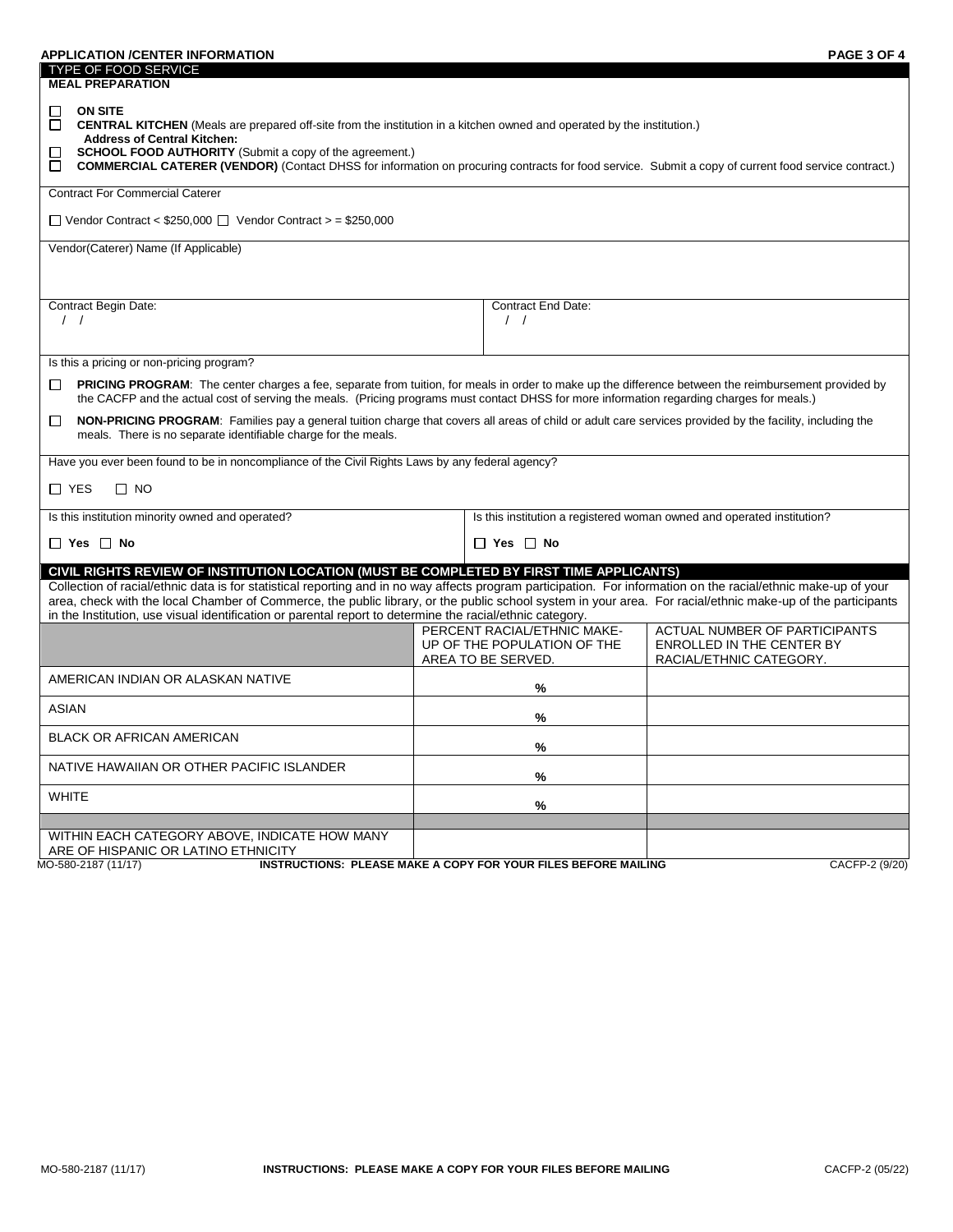| <b>APPLICATION /CENTER INFORMATION</b><br><b>TYPE OF FOOD SERVICE</b><br><b>MEAL PREPARATION</b>                                                                                                                                                                                                                                                                                                                                                                                                                                        |                    |                                                            | PAGE 3 OF 4                                                                           |  |  |  |  |  |
|-----------------------------------------------------------------------------------------------------------------------------------------------------------------------------------------------------------------------------------------------------------------------------------------------------------------------------------------------------------------------------------------------------------------------------------------------------------------------------------------------------------------------------------------|--------------------|------------------------------------------------------------|---------------------------------------------------------------------------------------|--|--|--|--|--|
| <b>ON SITE</b><br>П<br>□<br><b>CENTRAL KITCHEN</b> (Meals are prepared off-site from the institution in a kitchen owned and operated by the institution.)<br><b>Address of Central Kitchen:</b><br><b>SCHOOL FOOD AUTHORITY</b> (Submit a copy of the agreement.)<br><b>COMMERCIAL CATERER (VENDOR)</b> (Contact DHSS for information on procuring contracts for food service. Submit a copy of current food service contract.)<br>$\Box$                                                                                               |                    |                                                            |                                                                                       |  |  |  |  |  |
| <b>Contract For Commercial Caterer</b>                                                                                                                                                                                                                                                                                                                                                                                                                                                                                                  |                    |                                                            |                                                                                       |  |  |  |  |  |
| $\Box$ Vendor Contract < \$250,000 $\Box$ Vendor Contract > = \$250,000                                                                                                                                                                                                                                                                                                                                                                                                                                                                 |                    |                                                            |                                                                                       |  |  |  |  |  |
| Vendor(Caterer) Name (If Applicable)                                                                                                                                                                                                                                                                                                                                                                                                                                                                                                    |                    |                                                            |                                                                                       |  |  |  |  |  |
|                                                                                                                                                                                                                                                                                                                                                                                                                                                                                                                                         |                    |                                                            |                                                                                       |  |  |  |  |  |
| Contract Begin Date:<br>$\left  \right $                                                                                                                                                                                                                                                                                                                                                                                                                                                                                                |                    | <b>Contract End Date:</b><br>$\left  \right $              |                                                                                       |  |  |  |  |  |
|                                                                                                                                                                                                                                                                                                                                                                                                                                                                                                                                         |                    |                                                            |                                                                                       |  |  |  |  |  |
| Is this a pricing or non-pricing program?                                                                                                                                                                                                                                                                                                                                                                                                                                                                                               |                    |                                                            |                                                                                       |  |  |  |  |  |
| PRICING PROGRAM: The center charges a fee, separate from tuition, for meals in order to make up the difference between the reimbursement provided by<br>$\Box$<br>the CACFP and the actual cost of serving the meals. (Pricing programs must contact DHSS for more information regarding charges for meals.)                                                                                                                                                                                                                            |                    |                                                            |                                                                                       |  |  |  |  |  |
| □<br>NON-PRICING PROGRAM: Families pay a general tuition charge that covers all areas of child or adult care services provided by the facility, including the<br>meals. There is no separate identifiable charge for the meals.                                                                                                                                                                                                                                                                                                         |                    |                                                            |                                                                                       |  |  |  |  |  |
| Have you ever been found to be in noncompliance of the Civil Rights Laws by any federal agency?                                                                                                                                                                                                                                                                                                                                                                                                                                         |                    |                                                            |                                                                                       |  |  |  |  |  |
| □ YES<br>$\Box$ NO                                                                                                                                                                                                                                                                                                                                                                                                                                                                                                                      |                    |                                                            |                                                                                       |  |  |  |  |  |
| Is this institution minority owned and operated?<br>Is this institution a registered woman owned and operated institution?                                                                                                                                                                                                                                                                                                                                                                                                              |                    |                                                            |                                                                                       |  |  |  |  |  |
| $\Box$ Yes $\Box$ No                                                                                                                                                                                                                                                                                                                                                                                                                                                                                                                    |                    | $\Box$ Yes $\Box$ No                                       |                                                                                       |  |  |  |  |  |
| CIVIL RIGHTS REVIEW OF INSTITUTION LOCATION (MUST BE COMPLETED BY FIRST TIME APPLICANTS)<br>Collection of racial/ethnic data is for statistical reporting and in no way affects program participation. For information on the racial/ethnic make-up of your<br>area, check with the local Chamber of Commerce, the public library, or the public school system in your area. For racial/ethnic make-up of the participants<br>in the Institution, use visual identification or parental report to determine the racial/ethnic category. |                    |                                                            |                                                                                       |  |  |  |  |  |
|                                                                                                                                                                                                                                                                                                                                                                                                                                                                                                                                         | AREA TO BE SERVED. | PERCENT RACIAL/ETHNIC MAKE-<br>UP OF THE POPULATION OF THE | ACTUAL NUMBER OF PARTICIPANTS<br>ENROLLED IN THE CENTER BY<br>RACIAL/ETHNIC CATEGORY. |  |  |  |  |  |
| AMERICAN INDIAN OR ALASKAN NATIVE                                                                                                                                                                                                                                                                                                                                                                                                                                                                                                       |                    | %                                                          |                                                                                       |  |  |  |  |  |
| ASIAN                                                                                                                                                                                                                                                                                                                                                                                                                                                                                                                                   |                    | %                                                          |                                                                                       |  |  |  |  |  |
| <b>BLACK OR AFRICAN AMERICAN</b>                                                                                                                                                                                                                                                                                                                                                                                                                                                                                                        |                    | ℅                                                          |                                                                                       |  |  |  |  |  |
| NATIVE HAWAIIAN OR OTHER PACIFIC ISLANDER                                                                                                                                                                                                                                                                                                                                                                                                                                                                                               |                    | %                                                          |                                                                                       |  |  |  |  |  |
| <b>WHITE</b>                                                                                                                                                                                                                                                                                                                                                                                                                                                                                                                            |                    | %                                                          |                                                                                       |  |  |  |  |  |
|                                                                                                                                                                                                                                                                                                                                                                                                                                                                                                                                         |                    |                                                            |                                                                                       |  |  |  |  |  |
| WITHIN EACH CATEGORY ABOVE, INDICATE HOW MANY<br>ARE OF HISPANIC OR LATINO ETHNICITY                                                                                                                                                                                                                                                                                                                                                                                                                                                    |                    |                                                            |                                                                                       |  |  |  |  |  |
| <b>INSTRUCTIONS: PLEASE MAKE A COPY FOR YOUR FILES BEFORE MAILING</b><br>MO-580-2187 (11/17)                                                                                                                                                                                                                                                                                                                                                                                                                                            |                    |                                                            | CACFP-2 (9/20)                                                                        |  |  |  |  |  |